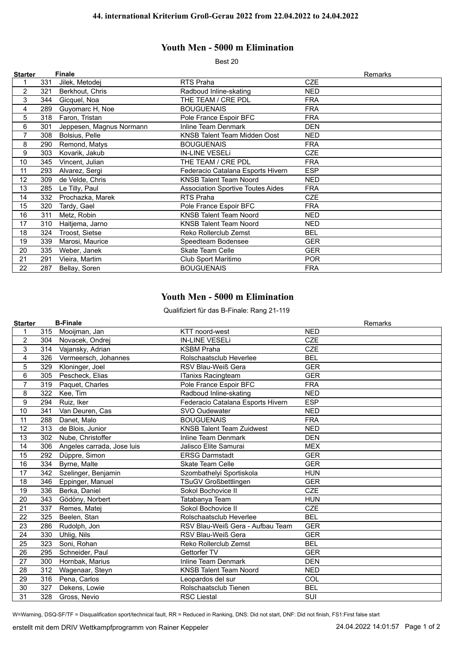## **Youth Men - 5000 m Elimination**

Best 20

| <b>Starter</b> |     | <b>Finale</b>            |                                          | Remarks    |
|----------------|-----|--------------------------|------------------------------------------|------------|
|                | 331 | Jilek, Metodej           | RTS Praha                                | <b>CZE</b> |
| 2              | 321 | Berkhout, Chris          | Radboud Inline-skating                   | <b>NED</b> |
| 3              | 344 | Gicquel, Noa             | THE TEAM / CRE PDL                       | <b>FRA</b> |
| 4              | 289 | Guyomarc H, Noe          | <b>BOUGUENAIS</b>                        | <b>FRA</b> |
| 5              | 318 | Faron, Tristan           | Pole France Espoir BFC                   | <b>FRA</b> |
| 6              | 301 | Jeppesen, Magnus Normann | <b>Inline Team Denmark</b>               | <b>DEN</b> |
| 7              | 308 | Bolsius, Pelle           | KNSB Talent Team Midden Oost             | <b>NED</b> |
| 8              | 290 | Remond, Matys            | <b>BOUGUENAIS</b>                        | <b>FRA</b> |
| 9              | 303 | Kovarik, Jakub           | <b>IN-LINE VESELI</b>                    | <b>CZE</b> |
| 10             | 345 | Vincent, Julian          | THE TEAM / CRE PDL                       | <b>FRA</b> |
| 11             | 293 | Alvarez, Sergi           | Federacio Catalana Esports Hivern        | <b>ESP</b> |
| 12             | 309 | de Velde, Chris          | <b>KNSB Talent Team Noord</b>            | NED.       |
| 13             | 285 | Le Tilly, Paul           | <b>Association Sportive Toutes Aides</b> | <b>FRA</b> |
| 14             | 332 | Prochazka, Marek         | RTS Praha                                | <b>CZE</b> |
| 15             | 320 | Tardy, Gael              | Pole France Espoir BFC                   | <b>FRA</b> |
| 16             | 311 | Metz, Robin              | <b>KNSB Talent Team Noord</b>            | NED.       |
| 17             | 310 | Haitjema, Jarno          | <b>KNSB Talent Team Noord</b>            | <b>NED</b> |
| 18             | 324 | Troost, Sietse           | Reko Rollerclub Zemst                    | <b>BEL</b> |
| 19             | 339 | Marosi, Maurice          | Speedteam Bodensee                       | <b>GER</b> |
| 20             | 335 | Weber, Janek             | <b>Skate Team Celle</b>                  | <b>GER</b> |
| 21             | 291 | Vieira, Martim           | Club Sport Maritimo                      | <b>POR</b> |
| 22             | 287 | Bellay, Soren            | <b>BOUGUENAIS</b>                        | <b>FRA</b> |

## **Youth Men - 5000 m Elimination**

Qualifiziert für das B-Finale: Rang 21-119

| <b>Starter</b> |     | <b>B-Finale</b>            |                                   |            | Remarks |
|----------------|-----|----------------------------|-----------------------------------|------------|---------|
| 1              | 315 | Mooijman, Jan              | <b>KTT</b> noord-west             | <b>NED</b> |         |
| 2              | 304 | Novacek, Ondrej            | <b>IN-LINE VESELI</b>             | <b>CZE</b> |         |
| 3              | 314 | Vajansky, Adrian           | <b>KSBM Praha</b>                 | <b>CZE</b> |         |
| 4              | 326 | Vermeersch, Johannes       | Rolschaatsclub Heverlee           | <b>BEL</b> |         |
| 5              | 329 | Kloninger, Joel            | RSV Blau-Weiß Gera                | <b>GER</b> |         |
| 6              | 305 | Pescheck, Elias            | <b>ITanixs Racingteam</b>         | <b>GER</b> |         |
| $\overline{7}$ | 319 | Paquet, Charles            | Pole France Espoir BFC            | <b>FRA</b> |         |
| 8              | 322 | Kee, Tim                   | Radboud Inline-skating            | <b>NED</b> |         |
| 9              | 294 | Ruiz, Iker                 | Federacio Catalana Esports Hivern | <b>ESP</b> |         |
| 10             | 341 | Van Deuren, Cas            | SVO Oudewater                     | <b>NED</b> |         |
| 11             | 288 | Danet, Malo                | <b>BOUGUENAIS</b>                 | <b>FRA</b> |         |
| 12             | 313 | de Blois, Junior           | <b>KNSB Talent Team Zuidwest</b>  | <b>NED</b> |         |
| 13             | 302 | Nube, Christoffer          | <b>Inline Team Denmark</b>        | <b>DEN</b> |         |
| 14             | 306 | Angeles carrada, Jose luis | Jalisco Elite Samurai             | <b>MEX</b> |         |
| 15             | 292 | Düppre, Simon              | <b>ERSG Darmstadt</b>             | <b>GER</b> |         |
| 16             | 334 | Byrne, Malte               | <b>Skate Team Celle</b>           | <b>GER</b> |         |
| 17             | 342 | Szelinger, Benjamin        | Szombathelyi Sportiskola          | <b>HUN</b> |         |
| 18             | 346 | Eppinger, Manuel           | <b>TSuGV Großbettlingen</b>       | <b>GER</b> |         |
| 19             | 336 | Berka, Daniel              | Sokol Bochovice II                | <b>CZE</b> |         |
| 20             | 343 | Gödöny, Norbert            | Tatabanya Team                    | <b>HUN</b> |         |
| 21             | 337 | Remes, Matej               | Sokol Bochovice II                | <b>CZE</b> |         |
| 22             | 325 | Beelen, Stan               | Rolschaatsclub Heverlee           | <b>BEL</b> |         |
| 23             | 286 | Rudolph, Jon               | RSV Blau-Weiß Gera - Aufbau Team  | <b>GER</b> |         |
| 24             | 330 | Uhlig, Nils                | RSV Blau-Weiß Gera                | <b>GER</b> |         |
| 25             | 323 | Soni, Rohan                | Reko Rollerclub Zemst             | <b>BEL</b> |         |
| 26             | 295 | Schneider, Paul            | Gettorfer TV                      | <b>GER</b> |         |
| 27             | 300 | Hornbak, Marius            | Inline Team Denmark               | <b>DEN</b> |         |
| 28             | 312 | Wagenaar, Steyn            | <b>KNSB Talent Team Noord</b>     | <b>NED</b> |         |
| 29             | 316 | Pena, Carlos               | Leopardos del sur                 | COL        |         |
| 30             | 327 | Dekens, Lowie              | Rolschaatsclub Tienen             | <b>BEL</b> |         |
| 31             | 328 | Gross, Nevio               | <b>RSC Liestal</b>                | SUI        |         |

W=Warning, DSQ-SF/TF = Disqualification sport/technical fault, RR = Reduced in Ranking, DNS: Did not start, DNF: Did not finish, FS1:First false start